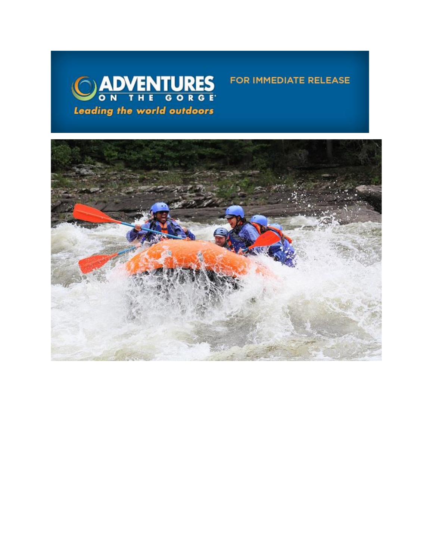

FOR IMMEDIATE RELEASE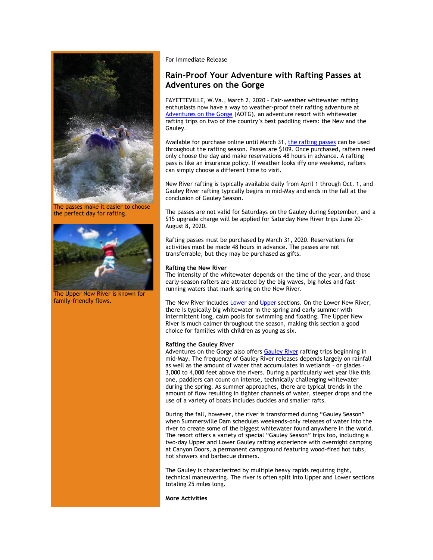

The passes make it easier to choose the perfect day for rafting.



The Upper New River is known for family-friendly flows.

For Immediate Release

# **Rain-Proof Your Adventure with Rafting Passes at Adventures on the Gorge**

FAYETTEVILLE, W.Va., March 2, 2020 – Fair-weather whitewater rafting enthusiasts now have a way to weather-proof their rafting adventure at [Adventures on the Gorge](https://click.icptrack.com/icp/relay.php?r=13440961&msgid=448890&act=3SPQ&c=1378153&destination=https%3A%2F%2Fadventuresonthegorge.com%2F) (AOTG), an adventure resort with whitewater rafting trips on two of the country's best paddling rivers: the New and the Gauley.

Available for purchase online until March 31, [the rafting passes](https://click.icptrack.com/icp/relay.php?r=13440961&msgid=448890&act=3SPQ&c=1378153&destination=https%3A%2F%2Fadventuresonthegorge.com%2Foffers-and-discounts%2F) can be used throughout the rafting season. Passes are \$109. Once purchased, rafters need only choose the day and make reservations 48 hours in advance. A rafting pass is like an insurance policy. If weather looks iffy one weekend, rafters can simply choose a different time to visit.

New River rafting is typically available daily from April 1 through Oct. 1, and Gauley River rafting typically begins in mid-May and ends in the fall at the conclusion of Gauley Season.

The passes are not valid for Saturdays on the Gauley during September, and a \$15 upgrade charge will be applied for Saturday New River trips June 20- August 8, 2020.

Rafting passes must be purchased by March 31, 2020. Reservations for activities must be made 48 hours in advance. The passes are not transferrable, but they may be purchased as gifts.

### **Rafting the New River**

The intensity of the whitewater depends on the time of the year, and those early-season rafters are attracted by the big waves, big holes and fastrunning waters that mark spring on the New River.

The New River include[s Lower](https://click.icptrack.com/icp/relay.php?r=13440961&msgid=448890&act=3SPQ&c=1378153&destination=https%3A%2F%2Fwww.adventuresonthegorge.com%2Fadventures%2Fwhitewater-rafting%2Flower-new-river-white-water-rafting) an[d Upper](https://click.icptrack.com/icp/relay.php?r=13440961&msgid=448890&act=3SPQ&c=1378153&destination=https%3A%2F%2Fwww.adventuresonthegorge.com%2Fadventures%2Fwhitewater-rafting%2Fupper-new-river-white-water-rafting) sections. On the Lower New River, there is typically big whitewater in the spring and early summer with intermittent long, calm pools for swimming and floating. The Upper New River is much calmer throughout the season, making this section a good choice for families with children as young as six.

# **Rafting the Gauley River**

Adventures on the Gorge also offers [Gauley River](https://click.icptrack.com/icp/relay.php?r=13440961&msgid=448890&act=3SPQ&c=1378153&destination=https%3A%2F%2Fwww.adventuresonthegorge.com%2Fadventures%2Fwhitewater-rafting%2Fspring-summer-gauley-river-white-water) rafting trips beginning in mid-May. The frequency of Gauley River releases depends largely on rainfall as well as the amount of water that accumulates in wetlands – or glades – 3,000 to 4,000 feet above the rivers. During a particularly wet year like this one, paddlers can count on intense, technically challenging whitewater during the spring. As summer approaches, there are typical trends in the amount of flow resulting in tighter channels of water, steeper drops and the use of a variety of boats includes duckies and smaller rafts.

During the fall, however, the river is transformed during "Gauley Season" when Summersville Dam schedules weekends-only releases of water into the river to create some of the biggest whitewater found anywhere in the world. The resort offers a variety of special "Gauley Season" trips too, including a two-day Upper and Lower Gauley rafting experience with overnight camping at Canyon Doors, a permanent campground featuring wood-fired hot tubs, hot showers and barbecue dinners.

The Gauley is characterized by multiple heavy rapids requiring tight, technical maneuvering. The river is often split into Upper and Lower sections totaling 25 miles long.

#### **More Activities**